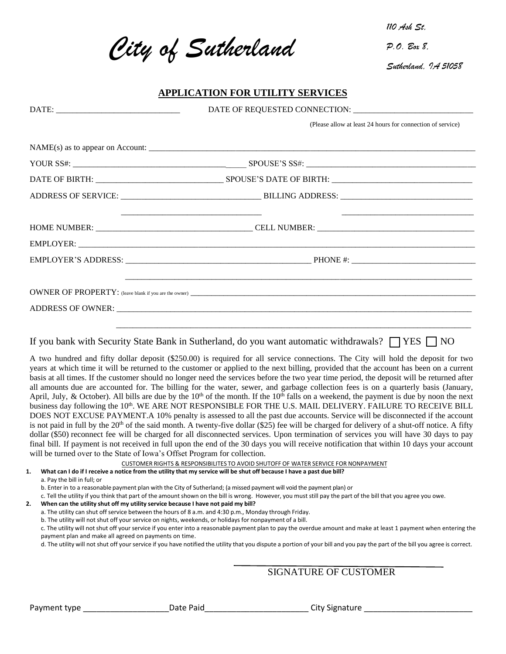*City of Sutherland* 

*110 Ash St,*

*P.O. Box 8,*

*Sutherland, IA 51058*

## **APPLICATION FOR UTILITY SERVICES**

|                                                                                                                                                                                 | (Please allow at least 24 hours for connection of service)                                                                                                                                                                                                                                                                                                                                                                                                                                                                                                                                                                                                                                                                                                                                                                                                                                                                                                                                                                                                                                                                                                                                                                                                                                                                                                                                                          |
|---------------------------------------------------------------------------------------------------------------------------------------------------------------------------------|---------------------------------------------------------------------------------------------------------------------------------------------------------------------------------------------------------------------------------------------------------------------------------------------------------------------------------------------------------------------------------------------------------------------------------------------------------------------------------------------------------------------------------------------------------------------------------------------------------------------------------------------------------------------------------------------------------------------------------------------------------------------------------------------------------------------------------------------------------------------------------------------------------------------------------------------------------------------------------------------------------------------------------------------------------------------------------------------------------------------------------------------------------------------------------------------------------------------------------------------------------------------------------------------------------------------------------------------------------------------------------------------------------------------|
|                                                                                                                                                                                 |                                                                                                                                                                                                                                                                                                                                                                                                                                                                                                                                                                                                                                                                                                                                                                                                                                                                                                                                                                                                                                                                                                                                                                                                                                                                                                                                                                                                                     |
|                                                                                                                                                                                 |                                                                                                                                                                                                                                                                                                                                                                                                                                                                                                                                                                                                                                                                                                                                                                                                                                                                                                                                                                                                                                                                                                                                                                                                                                                                                                                                                                                                                     |
|                                                                                                                                                                                 |                                                                                                                                                                                                                                                                                                                                                                                                                                                                                                                                                                                                                                                                                                                                                                                                                                                                                                                                                                                                                                                                                                                                                                                                                                                                                                                                                                                                                     |
|                                                                                                                                                                                 |                                                                                                                                                                                                                                                                                                                                                                                                                                                                                                                                                                                                                                                                                                                                                                                                                                                                                                                                                                                                                                                                                                                                                                                                                                                                                                                                                                                                                     |
|                                                                                                                                                                                 |                                                                                                                                                                                                                                                                                                                                                                                                                                                                                                                                                                                                                                                                                                                                                                                                                                                                                                                                                                                                                                                                                                                                                                                                                                                                                                                                                                                                                     |
|                                                                                                                                                                                 |                                                                                                                                                                                                                                                                                                                                                                                                                                                                                                                                                                                                                                                                                                                                                                                                                                                                                                                                                                                                                                                                                                                                                                                                                                                                                                                                                                                                                     |
|                                                                                                                                                                                 |                                                                                                                                                                                                                                                                                                                                                                                                                                                                                                                                                                                                                                                                                                                                                                                                                                                                                                                                                                                                                                                                                                                                                                                                                                                                                                                                                                                                                     |
|                                                                                                                                                                                 |                                                                                                                                                                                                                                                                                                                                                                                                                                                                                                                                                                                                                                                                                                                                                                                                                                                                                                                                                                                                                                                                                                                                                                                                                                                                                                                                                                                                                     |
|                                                                                                                                                                                 |                                                                                                                                                                                                                                                                                                                                                                                                                                                                                                                                                                                                                                                                                                                                                                                                                                                                                                                                                                                                                                                                                                                                                                                                                                                                                                                                                                                                                     |
|                                                                                                                                                                                 |                                                                                                                                                                                                                                                                                                                                                                                                                                                                                                                                                                                                                                                                                                                                                                                                                                                                                                                                                                                                                                                                                                                                                                                                                                                                                                                                                                                                                     |
|                                                                                                                                                                                 | If you bank with Security State Bank in Sutherland, do you want automatic withdrawals? $\Box$ YES $\Box$ NO                                                                                                                                                                                                                                                                                                                                                                                                                                                                                                                                                                                                                                                                                                                                                                                                                                                                                                                                                                                                                                                                                                                                                                                                                                                                                                         |
| will be turned over to the State of Iowa's Offset Program for collection.                                                                                                       | A two hundred and fifty dollar deposit (\$250.00) is required for all service connections. The City will hold the deposit for two<br>years at which time it will be returned to the customer or applied to the next billing, provided that the account has been on a current<br>basis at all times. If the customer should no longer need the services before the two year time period, the deposit will be returned after<br>all amounts due are accounted for. The billing for the water, sewer, and garbage collection fees is on a quarterly basis (January,<br>April, July, & October). All bills are due by the $10th$ of the month. If the $10th$ falls on a weekend, the payment is due by noon the next<br>business day following the 10 <sup>th</sup> . WE ARE NOT RESPONSIBLE FOR THE U.S. MAIL DELIVERY. FAILURE TO RECEIVE BILL<br>DOES NOT EXCUSE PAYMENT.A 10% penalty is assessed to all the past due accounts. Service will be disconnected if the account<br>is not paid in full by the $20th$ of the said month. A twenty-five dollar (\$25) fee will be charged for delivery of a shut-off notice. A fifty<br>dollar (\$50) reconnect fee will be charged for all disconnected services. Upon termination of services you will have 30 days to pay<br>final bill. If payment is not received in full upon the end of the 30 days you will receive notification that within 10 days your account |
|                                                                                                                                                                                 | CUSTOMER RIGHTS & RESPONSIBILITES TO AVOID SHUTOFF OF WATER SERVICE FOR NONPAYMENT<br>1. What can I do if I receive a notice from the utility that my service will be shut off because I have a past due bill?                                                                                                                                                                                                                                                                                                                                                                                                                                                                                                                                                                                                                                                                                                                                                                                                                                                                                                                                                                                                                                                                                                                                                                                                      |
| a. Pay the bill in full; or<br>When can the utility shut off my utility service because I have not paid my bill?<br>2.<br>payment plan and make all agreed on payments on time. | b. Enter in to a reasonable payment plan with the City of Sutherland; (a missed payment will void the payment plan) or<br>c. Tell the utility if you think that part of the amount shown on the bill is wrong. However, you must still pay the part of the bill that you agree you owe.<br>a. The utility can shut off service between the hours of 8 a.m. and 4:30 p.m., Monday through Friday.<br>b. The utility will not shut off your service on nights, weekends, or holidays for nonpayment of a bill.<br>c. The utility will not shut off your service if you enter into a reasonable payment plan to pay the overdue amount and make at least 1 payment when entering the<br>d. The utility will not shut off your service if you have notified the utility that you dispute a portion of your bill and you pay the part of the bill you agree is correct.                                                                                                                                                                                                                                                                                                                                                                                                                                                                                                                                                  |

SIGNATURE OF CUSTOMER